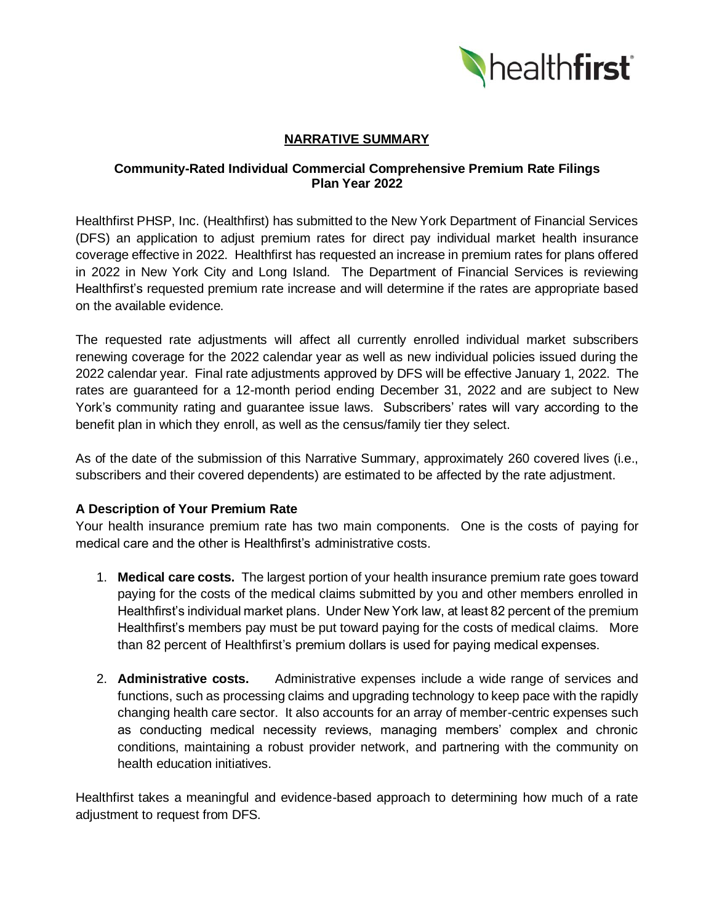

# **NARRATIVE SUMMARY**

### **Community-Rated Individual Commercial Comprehensive Premium Rate Filings Plan Year 2022**

Healthfirst PHSP, Inc. (Healthfirst) has submitted to the New York Department of Financial Services (DFS) an application to adjust premium rates for direct pay individual market health insurance coverage effective in 2022. Healthfirst has requested an increase in premium rates for plans offered in 2022 in New York City and Long Island. The Department of Financial Services is reviewing Healthfirst's requested premium rate increase and will determine if the rates are appropriate based on the available evidence.

The requested rate adjustments will affect all currently enrolled individual market subscribers renewing coverage for the 2022 calendar year as well as new individual policies issued during the 2022 calendar year. Final rate adjustments approved by DFS will be effective January 1, 2022. The rates are guaranteed for a 12-month period ending December 31, 2022 and are subject to New York's community rating and guarantee issue laws. Subscribers' rates will vary according to the benefit plan in which they enroll, as well as the census/family tier they select.

As of the date of the submission of this Narrative Summary, approximately 260 covered lives (i.e., subscribers and their covered dependents) are estimated to be affected by the rate adjustment.

### **A Description of Your Premium Rate**

Your health insurance premium rate has two main components. One is the costs of paying for medical care and the other is Healthfirst's administrative costs.

- 1. **Medical care costs.** The largest portion of your health insurance premium rate goes toward paying for the costs of the medical claims submitted by you and other members enrolled in Healthfirst's individual market plans. Under New York law, at least 82 percent of the premium Healthfirst's members pay must be put toward paying for the costs of medical claims. More than 82 percent of Healthfirst's premium dollars is used for paying medical expenses.
- 2. **Administrative costs.** Administrative expenses include a wide range of services and functions, such as processing claims and upgrading technology to keep pace with the rapidly changing health care sector. It also accounts for an array of member-centric expenses such as conducting medical necessity reviews, managing members' complex and chronic conditions, maintaining a robust provider network, and partnering with the community on health education initiatives.

Healthfirst takes a meaningful and evidence-based approach to determining how much of a rate adjustment to request from DFS.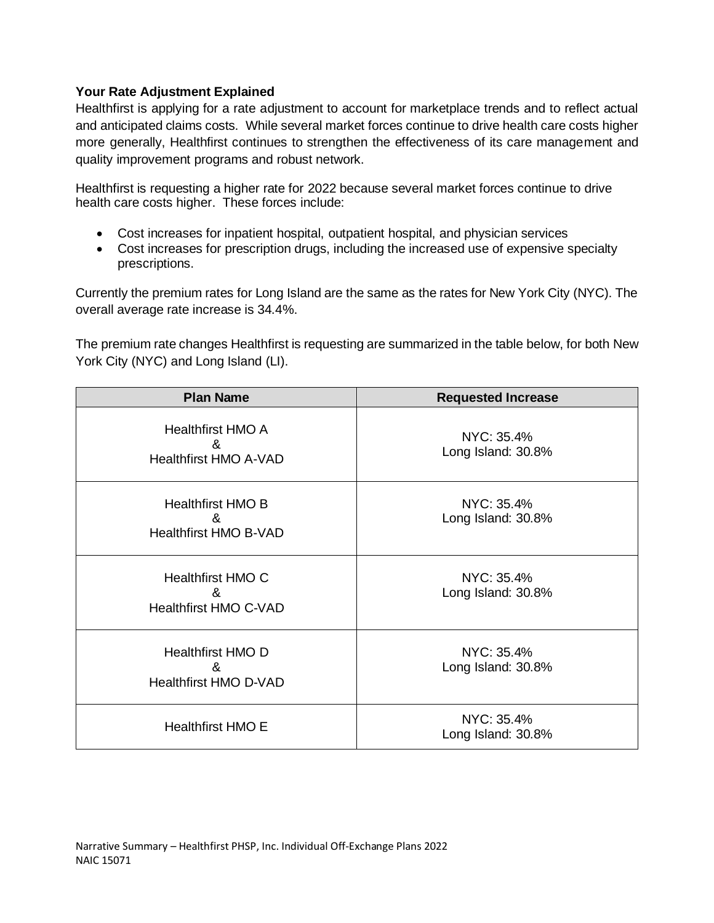# **Your Rate Adjustment Explained**

Healthfirst is applying for a rate adjustment to account for marketplace trends and to reflect actual and anticipated claims costs. While several market forces continue to drive health care costs higher more generally, Healthfirst continues to strengthen the effectiveness of its care management and quality improvement programs and robust network.

Healthfirst is requesting a higher rate for 2022 because several market forces continue to drive health care costs higher. These forces include:

- Cost increases for inpatient hospital, outpatient hospital, and physician services
- Cost increases for prescription drugs, including the increased use of expensive specialty prescriptions.

Currently the premium rates for Long Island are the same as the rates for New York City (NYC). The overall average rate increase is 34.4%.

The premium rate changes Healthfirst is requesting are summarized in the table below, for both New York City (NYC) and Long Island (LI).

| <b>Plan Name</b>                                              | <b>Requested Increase</b>        |
|---------------------------------------------------------------|----------------------------------|
| <b>Healthfirst HMO A</b><br>&<br><b>Healthfirst HMO A-VAD</b> | NYC: 35.4%<br>Long Island: 30.8% |
| <b>Healthfirst HMO B</b><br>&<br><b>Healthfirst HMO B-VAD</b> | NYC: 35.4%<br>Long Island: 30.8% |
| Healthfirst HMO C<br>&<br><b>Healthfirst HMO C-VAD</b>        | NYC: 35.4%<br>Long Island: 30.8% |
| <b>Healthfirst HMO D</b><br>&<br><b>Healthfirst HMO D-VAD</b> | NYC: 35.4%<br>Long Island: 30.8% |
| <b>Healthfirst HMO E</b>                                      | NYC: 35.4%<br>Long Island: 30.8% |